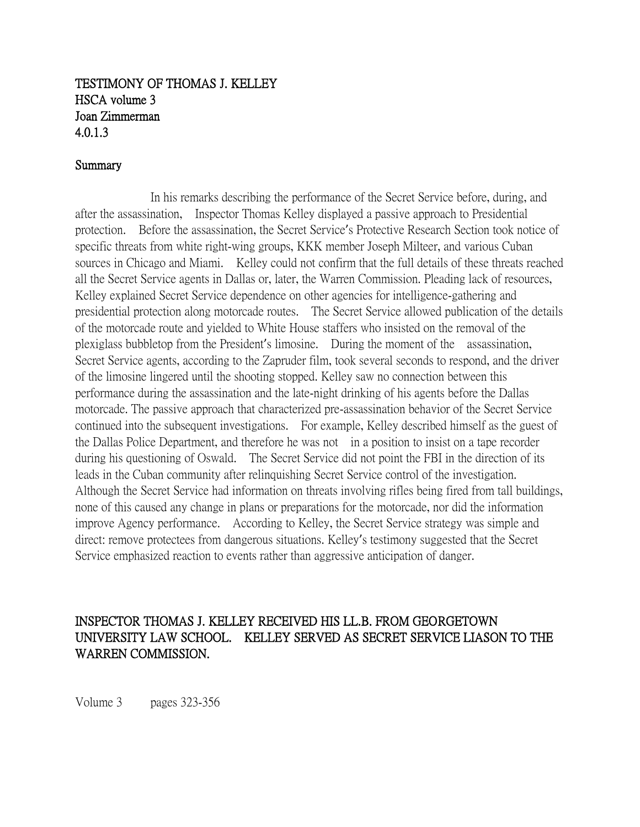## TESTIMONY OF THOMAS J. KELLEY HSCA volume 3 Joan Zimmerman 4.0.1.3

## Summary

In his remarks describing the performance of the Secret Service before, during, and after the assassination, Inspector Thomas Kelley displayed a passive approach to Presidential protection. Before the assassination, the Secret Service's Protective Research Section took notice of specific threats from white right-wing groups, KKK member Joseph Milteer, and various Cuban sources in Chicago and Miami. Kelley could not confirm that the full details of these threats reached all the Secret Service agents in Dallas or, later, the Warren Commission. Pleading lack of resources, Kelley explained Secret Service dependence on other agencies for intelligence-gathering and presidential protection along motorcade routes. The Secret Service allowed publication of the details of the motorcade route and yielded to White House staffers who insisted on the removal of the plexiglass bubbletop from the President's limosine. During the moment of the assassination, Secret Service agents, according to the Zapruder film, took several seconds to respond, and the driver of the limosine lingered until the shooting stopped. Kelley saw no connection between this performance during the assassination and the late-night drinking of his agents before the Dallas motorcade. The passive approach that characterized pre-assassination behavior of the Secret Service continued into the subsequent investigations. For example, Kelley described himself as the guest of the Dallas Police Department, and therefore he was not in a position to insist on a tape recorder during his questioning of Oswald. The Secret Service did not point the FBI in the direction of its leads in the Cuban community after relinquishing Secret Service control of the investigation. Although the Secret Service had information on threats involving rifles being fired from tall buildings, none of this caused any change in plans or preparations for the motorcade, nor did the information improve Agency performance. According to Kelley, the Secret Service strategy was simple and direct: remove protectees from dangerous situations. Kelley's testimony suggested that the Secret Service emphasized reaction to events rather than aggressive anticipation of danger.

## INSPECTOR THOMAS J. KELLEY RECEIVED HIS LL.B. FROM GEORGETOWN UNIVERSITY LAW SCHOOL. KELLEY SERVED AS SECRET SERVICE LIASON TO THE WARREN COMMISSION.

Volume 3 pages 323-356